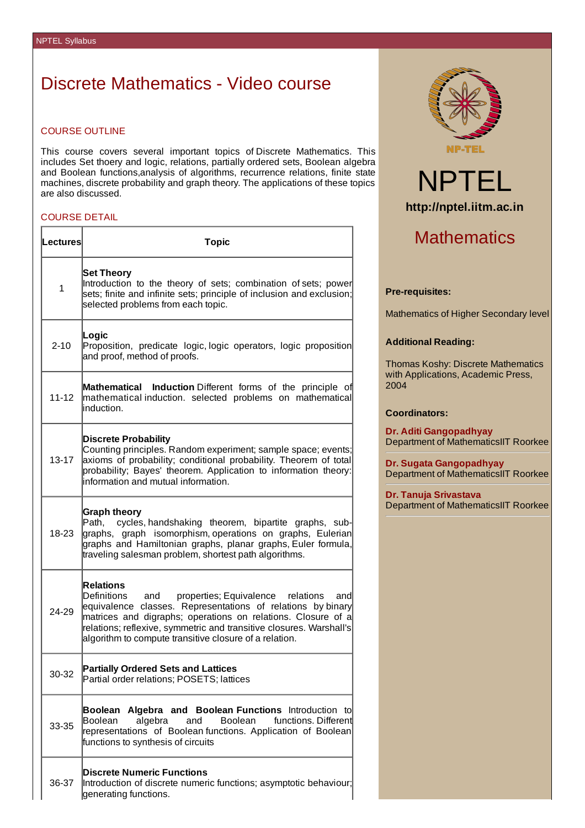# Discrete Mathematics - Video course

## COURSE OUTLINE

This course covers several important topics of Discrete Mathematics. This includes Set thoery and logic, relations, partially ordered sets, Boolean algebra and Boolean functions,analysis of algorithms, recurrence relations, finite state machines, discrete probability and graph theory. The applications of these topics are also discussed.

## COURSE DETAIL

r

| lLectures∣   | <b>Topic</b>                                                                                                                                                                                                                                                                                                                                 |  |
|--------------|----------------------------------------------------------------------------------------------------------------------------------------------------------------------------------------------------------------------------------------------------------------------------------------------------------------------------------------------|--|
| $\mathbf{1}$ | <b>Set Theory</b><br>Introduction to the theory of sets; combination of sets; power<br>sets; finite and infinite sets; principle of inclusion and exclusion;<br>selected problems from each topic.                                                                                                                                           |  |
| $2 - 10$     | Logic<br>Proposition, predicate logic, logic operators, logic proposition<br>and proof, method of proofs.                                                                                                                                                                                                                                    |  |
| 11-12        | Mathematical Induction Different forms of the principle of<br>mathematical induction. selected problems on mathematical<br>linduction.                                                                                                                                                                                                       |  |
| 13-17        | <b>Discrete Probability</b><br>Counting principles. Random experiment; sample space; events;<br>axioms of probability; conditional probability. Theorem of total<br>probability; Bayes' theorem. Application to information theory:<br>information and mutual information.                                                                   |  |
| 18-23        | <b>Graph theory</b><br>Path, cycles, handshaking theorem, bipartite graphs, sub-<br>graphs, graph isomorphism,operations on graphs, Eulerian<br>graphs and Hamiltonian graphs, planar graphs, Euler formula,<br>traveling salesman problem, shortest path algorithms.                                                                        |  |
| 24-29        | <b>Relations</b><br>Definitions and properties; Equivalence relations<br>and<br>equivalence classes. Representations of relations by binary<br>matrices and digraphs; operations on relations. Closure of a<br>relations; reflexive, symmetric and transitive closures. Warshall's<br>algorithm to compute transitive closure of a relation. |  |
| 30-32        | <b>Partially Ordered Sets and Lattices</b><br>Partial order relations; POSETS; lattices                                                                                                                                                                                                                                                      |  |
| 33-35        | Boolean Algebra and Boolean Functions Introduction to<br>Boolean<br>functions. Different<br>Boolean<br>algebra<br>and<br>representations of Boolean functions. Application of Boolean<br>functions to synthesis of circuits                                                                                                                  |  |
| 36-37        | <b>Discrete Numeric Functions</b><br>Introduction of discrete numeric functions; asymptotic behaviour;<br>generating functions.                                                                                                                                                                                                              |  |





# **Mathematics**

### **Pre-requisites:**

Mathematics of Higher Secondary level

#### **Additional Reading:**

Thomas Koshy: Discrete Mathematics with Applications, Academic Press, 2004

#### **Coordinators:**

**Dr. Aditi Gangopadhyay** Department of MathematicsIIT Roorkee

**Dr. Sugata Gangopadhyay** Department of MathematicsIIT Roorkee

**Dr. Tanuja Srivastava** Department of MathematicsIIT Roorkee